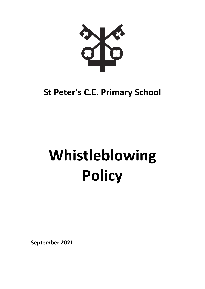

# **St Peter's C.E. Primary School**

# **Whistleblowing Policy**

**September 2021**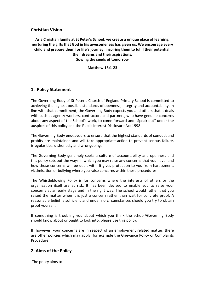#### **Christian Vision**

**As a Christian family at St Peter's School, we create a unique place of learning, nurturing the gifts that God in his awesomeness has given us. We encourage every child and prepare them for life's journey, inspiring them to fulfil their potential, their dreams and their aspirations. Sowing the seeds of tomorrow**

**Matthew 13:1-23**

#### **1. Policy Statement**

The Governing Body of St Peter's Church of England Primary School is committed to achieving the highest possible standards of openness, integrity and accountability. In line with that commitment, the Governing Body expects you and others that it deals with such as agency workers, contractors and partners, who have genuine concerns about any aspect of the School's work, to come forward and "Speak out" under the auspices of this policy and the Public Interest Disclosure Act 1998.

The Governing Body endeavours to ensure that the highest standards of conduct and probity are maintained and will take appropriate action to prevent serious failure, irregularities, dishonesty and wrongdoing.

The Governing Body genuinely seeks a culture of accountability and openness and this policy sets out the ways in which you may raise any concerns that you have, and how those concerns will be dealt with. It gives protection to you from harassment, victimisation or bullying where you raise concerns within these procedures.

The Whistleblowing Policy is for concerns where the interests of others or the organisation itself are at risk. It has been devised to enable you to raise your concerns at an early stage and in the right way. The school would rather that you raised the matter when it is just a concern rather than wait for concrete proof. A reasonable belief is sufficient and under no circumstances should you try to obtain proof yourself.

If something is troubling you about which you think the school/Governing Body should know about or ought to look into, please use this policy.

If, however, your concerns are in respect of an employment related matter, there are other policies which may apply, for example the Grievance Policy or Complaints Procedure.

#### **2. Aims of the Policy**

The policy aims to: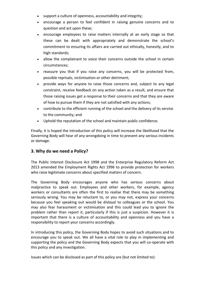- support a culture of openness, accountability and integrity;
- encourage a person to feel confident in raising genuine concerns and to question and act upon these;
- encourage employees to raise matters internally at an early stage so that these can be dealt with appropriately and demonstrate the school's commitment to ensuring its affairs are carried out ethically, honestly, and to high standards;
- allow the complainant to voice their concerns outside the school in certain circumstances;
- reassure you that if you raise any concerns, you will be protected from, possible reprisals, victimisation or other detriment;
- provide ways for anyone to raise those concerns and, subject to any legal constraint, receive feedback on any action taken as a result, and ensure that those raising issues get a response to their concerns and that they are aware of how to pursue them if they are not satisfied with any actions;
- contribute to the efficient running of the school and the delivery of its service to the community; and
- Uphold the reputation of the school and maintain public confidence.

Finally, it is hoped the introduction of this policy will increase the likelihood that the Governing Body will hear of any wrongdoing in time to prevent any serious incidents or damage.

# **3. Why do we need a Policy?**

The Public Interest Disclosure Act 1998 and the Enterprise Regulatory Reform Act 2013 amended the Employment Rights Act 1996 to provide protection for workers who raise legitimate concerns about specified matters of concern.

The Governing Body encourages anyone who has serious concerns about malpractice to speak out. Employees and other workers, for example, agency workers or consultants are often the first to realise that there may be something seriously wrong. You may be reluctant to, or you may not, express your concerns because you feel speaking out would be disloyal to colleagues or the school. You may also fear harassment or victimisation and this could lead you to ignore the problem rather than report it, particularly if this is just a suspicion. However it is important that there is a culture of accountability and openness and you have a responsibility to report your concerns accordingly.

In introducing this policy, the Governing Body hopes to avoid such situations and to encourage you to speak out. We all have a vital role to play in implementing and supporting the policy and the Governing Body expects that you will co-operate with this policy and any investigation.

Issues which can be disclosed as part of this policy are (but not limited to):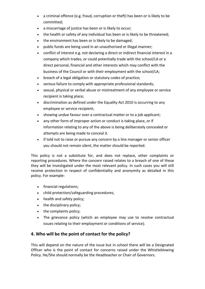- a criminal offence (e.g. fraud, corruption or theft) has been or is likely to be committed;
- a miscarriage of justice has been or is likely to occur;
- the health or safety of any individual has been or is likely to be threatened;
- the environment has been or is likely to be damaged;
- public funds are being used in an unauthorised or illegal manner;
- conflict of interest e.g. not declaring a direct or indirect financial interest in a company which trades, or could potentially trade with the school/LA or a direct personal, financial and other interests which may conflict with the business of the Council or with their employment with the school/LA;
- breach of a legal obligation or statutory codes of practice;
- serious failure to comply with appropriate professional standards;
- sexual, physical or verbal abuse or mistreatment of any employee or service recipient is taking place;
- discrimination as defined under the Equality Act 2010 is occurring to any employee or service recipient;
- showing undue favour over a contractual matter or to a job applicant;
- any other form of improper action or conduct is taking place, or if information relating to any of the above is being deliberately concealed or attempts are being made to conceal it.
- if told not to raise or pursue any concern by a line manager or senior officer you should not remain silent, the matter should be reported.

This policy is not a substitute for, and does not replace, other complaints or reporting procedures. Where the concern raised relates to a breach of one of these they will be investigated under the most relevant policy. In such cases you will still receive protection in respect of confidentiality and anonymity as detailed in this policy. For example:

- financial regulations:
- child protection/safeguarding procedures;
- health and safety policy;
- the disciplinary policy:
- the complaints policy;
- The grievance policy (which an employee may use to resolve contractual issues relating to their employment or conditions of service).

# **4. Who will be the point of contact for the policy?**

This will depend on the nature of the issue but in school there will be a Designated Officer who is the point of contact for concerns raised under the Whistleblowing Policy. He/She should normally be the Headteacher or Chair of Governors.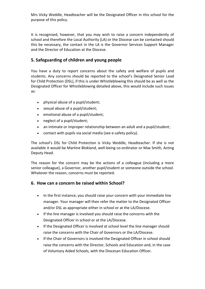Mrs Vicky Weddle, Headteacher will be the Designated Officer in this school for the purpose of this policy.

It is recognised, however, that you may wish to raise a concern independently of school and therefore the Local Authority (LA) or the Diocese can be contacted should this be necessary, the contact in the LA is the Governor Services Support Manager and the Director of Education at the Diocese.

# **5. Safeguarding of children and young people**

You have a duty to report concerns about the safety and welfare of pupils and students. Any concerns should be reported to the school's Designated Senior Lead for Child Protection (DSL), if this is under Whistleblowing this should be as well as the Designated Officer for Whistleblowing detailed above, this would include such issues as:

- physical abuse of a pupil/student;
- sexual abuse of a pupil/student;
- emotional abuse of a pupil/student;
- neglect of a pupil/student;
- an intimate or improper relationship between an adult and a pupil/student;
- contact with pupils via social media (see e-safety policy).

The school's DSL for Child Protection is Vicky Weddle, Headteacher. If she is not available it would be Martine Blokland, well-being co-ordinator or Max Smith, Acting Deputy Head.

The reason for the concern may be the actions of a colleague (including a more senior colleague), a Governor, another pupil/student or someone outside the school. Whatever the reason, concerns must be reported.

#### **6. How can a concern be raised within School?**

- In the first instance, you should raise your concern with your immediate line manager. Your manager will then refer the matter to the Designated Officer and/or DSL as appropriate either in school or at the LA/Diocese.
- If the line manager is involved you should raise the concerns with the Designated Officer in school or at the LA/Diocese.
- If the Designated Officer is involved at school level the line manager should raise the concerns with the Chair of Governors or the LA/Diocese.
- If the Chair of Governors is involved the Designated Officer in school should raise the concerns with the Director, Schools and Education and, in the case of Voluntary Aided Schools, with the Diocesan Education Officer.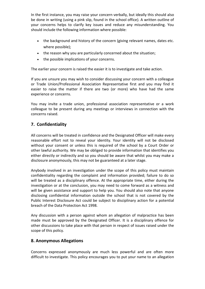In the first instance, you may raise your concern verbally, but ideally this should also be done in writing (using a pink slip, found in the school office). A written outline of your concerns helps to clarify key issues and reduce any misunderstanding. You should include the following information where possible:

- the background and history of the concern (giving relevant names, dates etc. where possible);
- the reason why you are particularly concerned about the situation;
- the possible implications of your concerns.

The earlier your concern is raised the easier it is to investigate and take action.

If you are unsure you may wish to consider discussing your concern with a colleague or Trade Union/Professional Association Representative first and you may find it easier to raise the matter if there are two (or more) who have had the same experience or concerns.

You may invite a trade union, professional association representative or a work colleague to be present during any meetings or interviews in connection with the concerns raised.

# **7. Confidentiality**

All concerns will be treated in confidence and the Designated Officer will make every reasonable effort not to reveal your identity. Your identity will not be disclosed without your consent or unless this is required of the school by a Court Order or other lawful authority. We may be obliged to provide information that identifies you either directly or indirectly and so you should be aware that whilst you may make a disclosure anonymously, this may not be guaranteed at a later stage.

Anybody involved in an investigation under the scope of this policy must maintain confidentiality regarding the complaint and information provided; failure to do so will be treated as a disciplinary offence. At the appropriate time, either during the investigation or at the conclusion, you may need to come forward as a witness and will be given assistance and support to help you. You should also note that anyone disclosing confidential information outside the school that is not covered by the Public Interest Disclosure Act could be subject to disciplinary action for a potential breach of the Data Protection Act 1998.

Any discussion with a person against whom an allegation of malpractice has been made must be approved by the Designated Officer. It is a disciplinary offence for other discussions to take place with that person in respect of issues raised under the scope of this policy.

#### **8. Anonymous Allegations**

Concerns expressed anonymously are much less powerful and are often more difficult to investigate. This policy encourages you to put your name to an allegation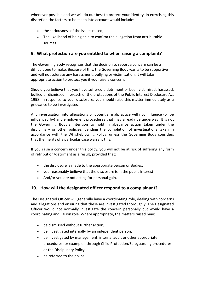whenever possible and we will do our best to protect your identity. In exercising this discretion the factors to be taken into account would include:

- the seriousness of the issues raised;
- The likelihood of being able to confirm the allegation from attributable sources.

#### **9. What protection are you entitled to when raising a complaint?**

The Governing Body recognises that the decision to report a concern can be a difficult one to make. Because of this, the Governing Body wants to be supportive and will not tolerate any harassment, bullying or victimisation. It will take appropriate action to protect you if you raise a concern.

Should you believe that you have suffered a detriment or been victimised, harassed, bullied or dismissed in breach of the protections of the Public Interest Disclosure Act 1998, in response to your disclosure, you should raise this matter immediately as a grievance to be investigated.

Any investigation into allegations of potential malpractice will not influence (or be influenced by) any employment procedures that may already be underway. It is not the Governing Body's intention to hold in abeyance action taken under the disciplinary or other policies, pending the completion of investigations taken in accordance with the Whistleblowing Policy, unless the Governing Body considers that the merits of a particular case warrant this.

If you raise a concern under this policy, you will not be at risk of suffering any form of retribution/detriment as a result, provided that:

- the disclosure is made to the appropriate person or Bodies;
- you reasonably believe that the disclosure is in the public interest;
- And/or you are not acting for personal gain.

# **10. How will the designated officer respond to a complainant?**

The Designated Officer will generally have a coordinating role, dealing with concerns and allegations and ensuring that these are investigated thoroughly. The Designated Officer would not normally investigate the concern personally but would have a coordinating and liaison role. Where appropriate, the matters raised may:

- be dismissed without further action;
- be investigated internally by an independent person;
- be investigated by management, internal audit or other appropriate procedures for example - through Child Protection/Safeguarding procedures or the Disciplinary Policy;
- be referred to the police;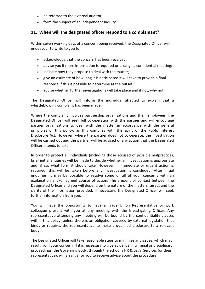- be referred to the external auditor;
- form the subject of an independent inquiry.

#### **11. When will the designated officer respond to a complainant?**

Within seven working days of a concern being received, the Designated Officer will endeavour to write to you to:

- acknowledge that the concern has been received;
- advise you if more information is required or arrange a confidential meeting;
- indicate how they propose to deal with the matter;
- give an estimate of how long it is anticipated it will take to provide a final response if this is possible to determine at the outset;
- advise whether further investigations will take place and if not, why not.

The Designated Officer will inform the individual affected to explain that a whistleblowing complaint has been made.

Where the complaint involves partnership organisations and their employees, the Designated Officer will seek full co-operation with the partner and will encourage partner organisations to deal with the matter in accordance with the general principles of this policy, as this complies with the spirit of the Public Interest Disclosure Act. However, where the partner does not co-operate, the investigation will be carried out and the partner will be advised of any action that the Designated Officer intends to take.

In order to protect all individuals (including those accused of possible malpractice), brief initial enquiries will be made to decide whether an investigation is appropriate and, if so, what form it should take. However, if immediate or urgent action is required, this will be taken before any investigation is concluded. After initial enquiries, it may be possible to resolve some or all of your concerns with an explanation and/or agreed course of action. The amount of contact between the Designated Officer and you will depend on the nature of the matters raised, and the clarity of the information provided. If necessary, the Designated Officer will seek further information from you.

You will have the opportunity to have a Trade Union Representative or work colleague present with you at any meeting with the Investigating Officer. Any representative attending any meeting will be bound by the confidentiality clauses within this policy, unless there is an obligation covered by external legislation that binds or requires the representative to make a qualified disclosure to a relevant body.

The Designated Officer will take reasonable steps to minimise any issues, which may result from your concern. If it is necessary to give evidence in criminal or disciplinary proceedings, the Governing Body, through the school's HR & Legal Services (or their representative), will arrange for you to receive advice about the procedure.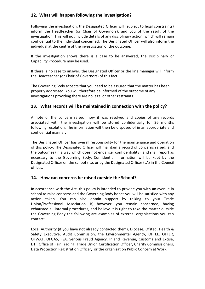# **12. What will happen following the investigation?**

Following the investigation, the Designated Officer will (subject to legal constraints) inform the Headteacher (or Chair of Governors), and you of the result of the investigation. This will not include details of any disciplinary action, which will remain confidential to the individual concerned. The Designated Officer will also inform the individual at the centre of the investigation of the outcome.

If the investigation shows there is a case to be answered, the Disciplinary or Capability Procedure may be used.

If there is no case to answer, the Designated Officer or the line manager will inform the Headteacher (or Chair of Governors) of this fact.

The Governing Body accepts that you need to be assured that the matter has been properly addressed. You will therefore be informed of the outcome of any investigations providing there are no legal or other restraints.

# **13. What records will be maintained in connection with the policy?**

A note of the concern raised, how it was resolved and copies of any records associated with the investigation will be stored confidentially for 36 months following resolution. The information will then be disposed of in an appropriate and confidential manner.

The Designated Officer has overall responsibility for the maintenance and operation of this policy. The Designated Officer will maintain a record of concerns raised, and the outcomes (in a way which does not endanger confidentiality), and shall report as necessary to the Governing Body. Confidential information will be kept by the Designated Officer on the school site, or by the Designated Officer (LA) in the Council offices.

#### **14. How can concerns be raised outside the School?**

In accordance with the Act, this policy is intended to provide you with an avenue in school to raise concerns and the Governing Body hopes you will be satisfied with any action taken. You can also obtain support by talking to your Trade Union/Professional Association. If, however, you remain concerned, having exhausted all internal procedures, and believe it is right to take the matter outside the Governing Body the following are examples of external organisations you can contact:

Local Authority (if you have not already contacted them), Diocese, Ofsted, Health & Safety Executive, Audit Commission, the Environmental Agency, OFTEL, OFFER, OFWAT, OFGAS, FSA, Serious Fraud Agency, Inland Revenue, Customs and Excise, DTI, Office of Fair Trading, Trade Union Certification Officer, Charity Commissioners, Data Protection Registration Officer, or the organisation Public Concern at Work.